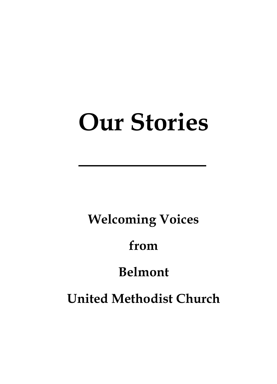# **Our Stories**

# **Welcoming Voices**

# **from**

# **Belmont**

# **United Methodist Church**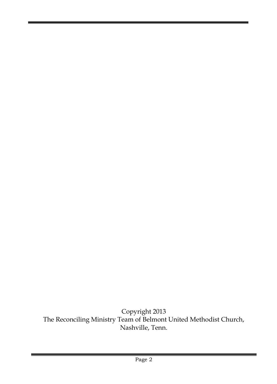Copyright 2013 The Reconciling Ministry Team of Belmont United Methodist Church, Nashville, Tenn.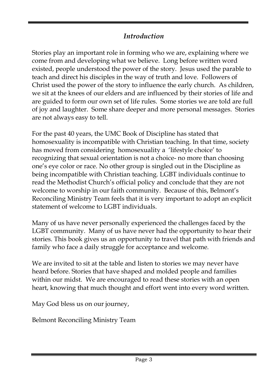# *Introduction*

Stories play an important role in forming who we are, explaining where we come from and developing what we believe. Long before written word existed, people understood the power of the story. Jesus used the parable to teach and direct his disciples in the way of truth and love. Followers of Christ used the power of the story to influence the early church. As children, we sit at the knees of our elders and are influenced by their stories of life and are guided to form our own set of life rules. Some stories we are told are full of joy and laughter. Some share deeper and more personal messages. Stories are not always easy to tell.

For the past 40 years, the UMC Book of Discipline has stated that homosexuality is incompatible with Christian teaching. In that time, society has moved from considering homosexuality a 'lifestyle choice' to recognizing that sexual orientation is not a choice- no more than choosing one's eye color or race. No other group is singled out in the Discipline as being incompatible with Christian teaching. LGBT individuals continue to read the Methodist Church's official policy and conclude that they are not welcome to worship in our faith community. Because of this, Belmont's Reconciling Ministry Team feels that it is very important to adopt an explicit statement of welcome to LGBT individuals.

Many of us have never personally experienced the challenges faced by the LGBT community. Many of us have never had the opportunity to hear their stories. This book gives us an opportunity to travel that path with friends and family who face a daily struggle for acceptance and welcome.

We are invited to sit at the table and listen to stories we may never have heard before. Stories that have shaped and molded people and families within our midst. We are encouraged to read these stories with an open heart, knowing that much thought and effort went into every word written.

May God bless us on our journey,

Belmont Reconciling Ministry Team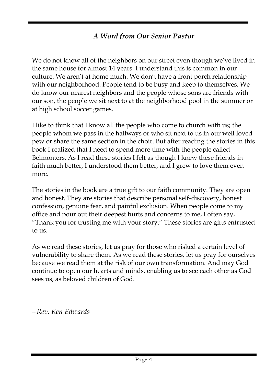# *A Word from Our Senior Pastor*

We do not know all of the neighbors on our street even though we've lived in the same house for almost 14 years. I understand this is common in our culture. We aren't at home much. We don't have a front porch relationship with our neighborhood. People tend to be busy and keep to themselves. We do know our nearest neighbors and the people whose sons are friends with our son, the people we sit next to at the neighborhood pool in the summer or at high school soccer games.

I like to think that I know all the people who come to church with us; the people whom we pass in the hallways or who sit next to us in our well loved pew or share the same section in the choir. But after reading the stories in this book I realized that I need to spend more time with the people called Belmonters. As I read these stories I felt as though I knew these friends in faith much better, I understood them better, and I grew to love them even more.

The stories in the book are a true gift to our faith community. They are open and honest. They are stories that describe personal self-discovery, honest confession, genuine fear, and painful exclusion. When people come to my office and pour out their deepest hurts and concerns to me, I often say, "Thank you for trusting me with your story." These stories are gifts entrusted to us.

As we read these stories, let us pray for those who risked a certain level of vulnerability to share them. As we read these stories, let us pray for ourselves because we read them at the risk of our own transformation. And may God continue to open our hearts and minds, enabling us to see each other as God sees us, as beloved children of God.

*--Rev. Ken Edwards*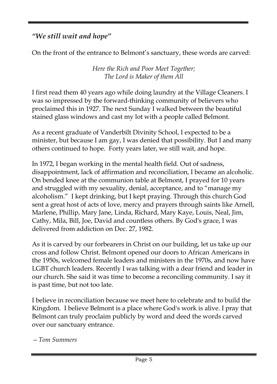# *"We still wait and hope"*

On the front of the entrance to Belmont's sanctuary, these words are carved:

*Here the Rich and Poor Meet Together; The Lord is Maker of them All*

I first read them 40 years ago while doing laundry at the Village Cleaners. I was so impressed by the forward-thinking community of believers who proclaimed this in 1927. The next Sunday I walked between the beautiful stained glass windows and cast my lot with a people called Belmont.

As a recent graduate of Vanderbilt Divinity School, I expected to be a minister, but because I am gay, I was denied that possibility. But I and many others continued to hope. Forty years later, we still wait, and hope.

In 1972, I began working in the mental health field. Out of sadness, disappointment, lack of affirmation and reconciliation, I became an alcoholic. On bended knee at the communion table at Belmont, I prayed for 10 years and struggled with my sexuality, denial, acceptance, and to "manage my alcoholism." I kept drinking, but I kept praying. Through this church God sent a great host of acts of love, mercy and prayers through saints like Arnell, Marlene, Phillip, Mary Jane, Linda, Richard, Mary Kaye, Louis, Neal, Jim, Cathy, Mila, Bill, Joe, David and countless others. By God's grace, I was delivered from addiction on Dec. 27, 1982.

As it is carved by our forbearers in Christ on our building, let us take up our cross and follow Christ. Belmont opened our doors to African Americans in the 1950s, welcomed female leaders and ministers in the 1970s, and now have LGBT church leaders. Recently I was talking with a dear friend and leader in our church. She said it was time to become a reconciling community. I say it is past time, but not too late.

I believe in reconciliation because we meet here to celebrate and to build the Kingdom. I believe Belmont is a place where God's work is alive. I pray that Belmont can truly proclaim publicly by word and deed the words carved over our sanctuary entrance.

*—Tom Summers*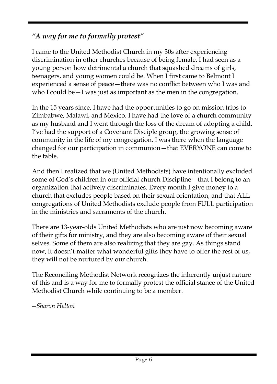# *"A way for me to formally protest"*

I came to the United Methodist Church in my 30s after experiencing discrimination in other churches because of being female. I had seen as a young person how detrimental a church that squashed dreams of girls, teenagers, and young women could be. When I first came to Belmont I experienced a sense of peace—there was no conflict between who I was and who I could be—I was just as important as the men in the congregation.

In the 15 years since, I have had the opportunities to go on mission trips to Zimbabwe, Malawi, and Mexico. I have had the love of a church community as my husband and I went through the loss of the dream of adopting a child. I've had the support of a Covenant Disciple group, the growing sense of community in the life of my congregation. I was there when the language changed for our participation in communion—that EVERYONE can come to the table.

And then I realized that we (United Methodists) have intentionally excluded some of God's children in our official church Discipline—that I belong to an organization that actively discriminates. Every month I give money to a church that excludes people based on their sexual orientation, and that ALL congregations of United Methodists exclude people from FULL participation in the ministries and sacraments of the church.

There are 13-year-olds United Methodists who are just now becoming aware of their gifts for ministry, and they are also becoming aware of their sexual selves. Some of them are also realizing that they are gay. As things stand now, it doesn't matter what wonderful gifts they have to offer the rest of us, they will not be nurtured by our church.

The Reconciling Methodist Network recognizes the inherently unjust nature of this and is a way for me to formally protest the official stance of the United Methodist Church while continuing to be a member.

*--Sharon Helton*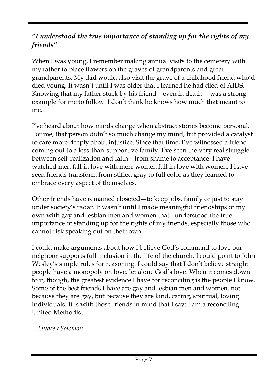## *"I understood the true importance of standing up for the rights of my friends"*

When I was young, I remember making annual visits to the cemetery with my father to place flowers on the graves of grandparents and greatgrandparents. My dad would also visit the grave of a childhood friend who'd died young. It wasn't until I was older that I learned he had died of AIDS. Knowing that my father stuck by his friend—even in death —was a strong example for me to follow. I don't think he knows how much that meant to me.

I've heard about how minds change when abstract stories become personal. For me, that person didn't so much change my mind, but provided a catalyst to care more deeply about injustice. Since that time, I've witnessed a friend coming out to a less-than-supportive family. I've seen the very real struggle between self-realization and faith—from shame to acceptance. I have watched men fall in love with men; women fall in love with women. I have seen friends transform from stifled gray to full color as they learned to embrace every aspect of themselves.

Other friends have remained closeted—to keep jobs, family or just to stay under society's radar. It wasn't until I made meaningful friendships of my own with gay and lesbian men and women that I understood the true importance of standing up for the rights of my friends, especially those who cannot risk speaking out on their own.

I could make arguments about how I believe God's command to love our neighbor supports full inclusion in the life of the church. I could point to John Wesley's simple rules for reasoning. I could say that I don't believe straight people have a monopoly on love, let alone God's love. When it comes down to it, though, the greatest evidence I have for reconciling is the people I know. Some of the best friends I have are gay and lesbian men and women, not because they are gay, but because they are kind, caring, spiritual, loving individuals. It is with those friends in mind that I say: I am a reconciling United Methodist.

*-- Lindsey Solomon*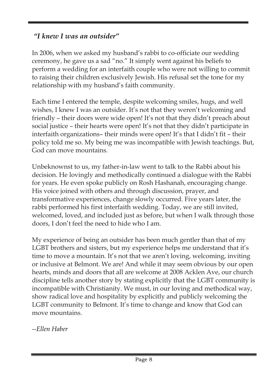## *"I knew I was an outsider"*

In 2006, when we asked my husband's rabbi to co-officiate our wedding ceremony, he gave us a sad "no." It simply went against his beliefs to perform a wedding for an interfaith couple who were not willing to commit to raising their children exclusively Jewish. His refusal set the tone for my relationship with my husband's faith community.

Each time I entered the temple, despite welcoming smiles, hugs, and well wishes, I knew I was an outsider. It's not that they weren't welcoming and friendly – their doors were wide open! It's not that they didn't preach about social justice – their hearts were open! It's not that they didn't participate in interfaith organizations– their minds were open! It's that I didn't fit – their policy told me so. My being me was incompatible with Jewish teachings. But, God can move mountains.

Unbeknownst to us, my father-in-law went to talk to the Rabbi about his decision. He lovingly and methodically continued a dialogue with the Rabbi for years. He even spoke publicly on Rosh Hashanah, encouraging change. His voice joined with others and through discussion, prayer, and transformative experiences, change slowly occurred. Five years later, the rabbi performed his first interfaith wedding. Today, we are still invited, welcomed, loved, and included just as before, but when I walk through those doors, I don't feel the need to hide who I am.

My experience of being an outsider has been much gentler than that of my LGBT brothers and sisters, but my experience helps me understand that it's time to move a mountain. It's not that we aren't loving, welcoming, inviting or inclusive at Belmont. We are! And while it may seem obvious by our open hearts, minds and doors that all are welcome at 2008 Acklen Ave, our church discipline tells another story by stating explicitly that the LGBT community is incompatible with Christianity. We must, in our loving and methodical way, show radical love and hospitality by explicitly and publicly welcoming the LGBT community to Belmont. It's time to change and know that God can move mountains.

*--Ellen Haber*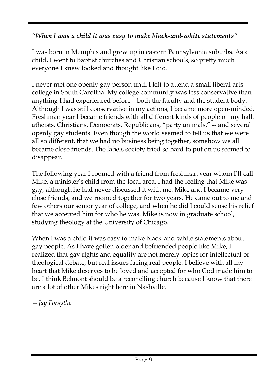#### *"When I was a child it was easy to make black-and-white statements"*

I was born in Memphis and grew up in eastern Pennsylvania suburbs. As a child, I went to Baptist churches and Christian schools, so pretty much everyone I knew looked and thought like I did.

I never met one openly gay person until I left to attend a small liberal arts college in South Carolina. My college community was less conservative than anything I had experienced before – both the faculty and the student body. Although I was still conservative in my actions, I became more open-minded. Freshman year I became friends with all different kinds of people on my hall: atheists, Christians, Democrats, Republicans, "party animals," -- and several openly gay students. Even though the world seemed to tell us that we were all so different, that we had no business being together, somehow we all became close friends. The labels society tried so hard to put on us seemed to disappear.

The following year I roomed with a friend from freshman year whom I'll call Mike, a minister's child from the local area. I had the feeling that Mike was gay, although he had never discussed it with me. Mike and I became very close friends, and we roomed together for two years. He came out to me and few others our senior year of college, and when he did I could sense his relief that we accepted him for who he was. Mike is now in graduate school, studying theology at the University of Chicago.

When I was a child it was easy to make black-and-white statements about gay people. As I have gotten older and befriended people like Mike, I realized that gay rights and equality are not merely topics for intellectual or theological debate, but real issues facing real people. I believe with all my heart that Mike deserves to be loved and accepted for who God made him to be. I think Belmont should be a reconciling church because I know that there are a lot of other Mikes right here in Nashville.

*—Jay Forsythe*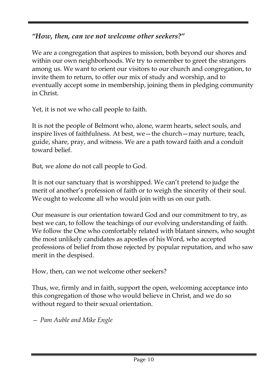# *"How, then, can we not welcome other seekers?"*

We are a congregation that aspires to mission, both beyond our shores and within our own neighborhoods. We try to remember to greet the strangers among us. We want to orient our visitors to our church and congregation, to invite them to return, to offer our mix of study and worship, and to eventually accept some in membership, joining them in pledging community in Christ.

Yet, it is not we who call people to faith.

It is not the people of Belmont who, alone, warm hearts, select souls, and inspire lives of faithfulness. At best, we—the church—may nurture, teach, guide, share, pray, and witness. We are a path toward faith and a conduit toward belief.

But, we alone do not call people to God.

It is not our sanctuary that is worshipped. We can't pretend to judge the merit of another's profession of faith or to weigh the sincerity of their soul. We ought to welcome all who would join with us on our path.

Our measure is our orientation toward God and our commitment to try, as best we can, to follow the teachings of our evolving understanding of faith. We follow the One who comfortably related with blatant sinners, who sought the most unlikely candidates as apostles of his Word, who accepted professions of belief from those rejected by popular reputation, and who saw merit in the despised.

How, then, can we not welcome other seekers?

Thus, we, firmly and in faith, support the open, welcoming acceptance into this congregation of those who would believe in Christ, and we do so without regard to their sexual orientation.

*— Pam Auble and Mike Engle*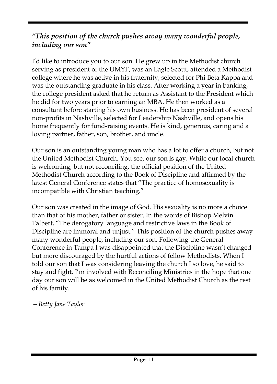## *"This position of the church pushes away many wonderful people, including our son"*

I'd like to introduce you to our son. He grew up in the Methodist church serving as president of the UMYF, was an Eagle Scout, attended a Methodist college where he was active in his fraternity, selected for Phi Beta Kappa and was the outstanding graduate in his class. After working a year in banking, the college president asked that he return as Assistant to the President which he did for two years prior to earning an MBA. He then worked as a consultant before starting his own business. He has been president of several non-profits in Nashville, selected for Leadership Nashville, and opens his home frequently for fund-raising events. He is kind, generous, caring and a loving partner, father, son, brother, and uncle.

Our son is an outstanding young man who has a lot to offer a church, but not the United Methodist Church. You see, our son is gay. While our local church is welcoming, but not reconciling, the official position of the United Methodist Church according to the Book of Discipline and affirmed by the latest General Conference states that "The practice of homosexuality is incompatible with Christian teaching."

Our son was created in the image of God. His sexuality is no more a choice than that of his mother, father or sister. In the words of Bishop Melvin Talbert, "The derogatory language and restrictive laws in the Book of Discipline are immoral and unjust." This position of the church pushes away many wonderful people, including our son. Following the General Conference in Tampa I was disappointed that the Discipline wasn't changed but more discouraged by the hurtful actions of fellow Methodists. When I told our son that I was considering leaving the church I so love, he said to stay and fight. I'm involved with Reconciling Ministries in the hope that one day our son will be as welcomed in the United Methodist Church as the rest of his family.

*—Betty Jane Taylor*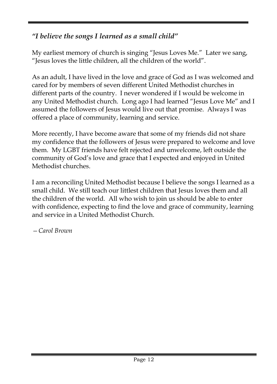# *"I believe the songs I learned as a small child"*

My earliest memory of church is singing "Jesus Loves Me." Later we sang, "Jesus loves the little children, all the children of the world".

As an adult, I have lived in the love and grace of God as I was welcomed and cared for by members of seven different United Methodist churches in different parts of the country. I never wondered if I would be welcome in any United Methodist church. Long ago I had learned "Jesus Love Me" and I assumed the followers of Jesus would live out that promise. Always I was offered a place of community, learning and service.

More recently, I have become aware that some of my friends did not share my confidence that the followers of Jesus were prepared to welcome and love them. My LGBT friends have felt rejected and unwelcome, left outside the community of God's love and grace that I expected and enjoyed in United Methodist churches.

I am a reconciling United Methodist because I believe the songs I learned as a small child. We still teach our littlest children that Jesus loves them and all the children of the world. All who wish to join us should be able to enter with confidence, expecting to find the love and grace of community, learning and service in a United Methodist Church.

*—Carol Brown*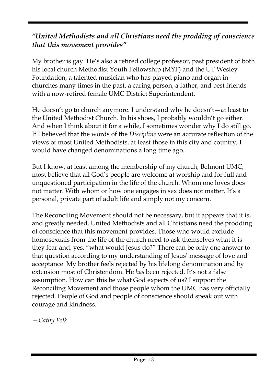## *"United Methodists and all Christians need the prodding of conscience that this movement provides"*

My brother is gay. He's also a retired college professor, past president of both his local church Methodist Youth Fellowship (MYF) and the UT Wesley Foundation, a talented musician who has played piano and organ in churches many times in the past, a caring person, a father, and best friends with a now-retired female UMC District Superintendent.

He doesn't go to church anymore. I understand why he doesn't—at least to the United Methodist Church. In his shoes, I probably wouldn't go either. And when I think about it for a while, I sometimes wonder why I do still go. If I believed that the words of the *Discipline* were an accurate reflection of the views of most United Methodists, at least those in this city and country, I would have changed denominations a long time ago.

But I know, at least among the membership of my church, Belmont UMC, most believe that all God's people are welcome at worship and for full and unquestioned participation in the life of the church. Whom one loves does not matter. With whom or how one engages in sex does not matter. It's a personal, private part of adult life and simply not my concern.

The Reconciling Movement should not be necessary, but it appears that it is, and greatly needed. United Methodists and all Christians need the prodding of conscience that this movement provides. Those who would exclude homosexuals from the life of the church need to ask themselves what it is they fear and, yes, "what would Jesus do?" There can be only one answer to that question according to my understanding of Jesus' message of love and acceptance. My brother feels rejected by his lifelong denomination and by extension most of Christendom. He *has* been rejected. It's not a false assumption. How can this be what God expects of us? I support the Reconciling Movement and those people whom the UMC has very officially rejected. People of God and people of conscience should speak out with courage and kindness.

*—Cathy Folk*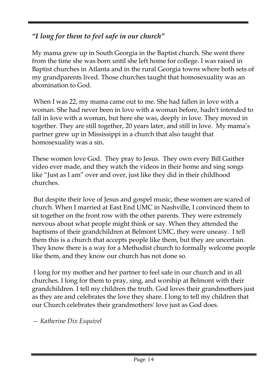# *"I long for them to feel safe in our church"*

My mama grew up in South Georgia in the Baptist church. She went there from the time she was born until she left home for college. I was raised in Baptist churches in Atlanta and in the rural Georgia towns where both sets of my grandparents lived. Those churches taught that homosexuality was an abomination to God.

When I was 22, my mama came out to me. She had fallen in love with a woman. She had never been in love with a woman before, hadn't intended to fall in love with a woman, but here she was, deeply in love. They moved in together. They are still together, 20 years later, and still in love. My mama's partner grew up in Mississippi in a church that also taught that homosexuality was a sin.

These women love God. They pray to Jesus. They own every Bill Gaither video ever made, and they watch the videos in their home and sing songs like "Just as I am" over and over, just like they did in their childhood churches.

But despite their love of Jesus and gospel music, these women are scared of church. When I married at East End UMC in Nashville, I convinced them to sit together on the front row with the other parents. They were extremely nervous about what people might think or say. When they attended the baptisms of their grandchildren at Belmont UMC, they were uneasy. I tell them this is a church that accepts people like them, but they are uncertain. They know there is a way for a Methodist church to formally welcome people like them, and they know our church has not done so.

I long for my mother and her partner to feel safe in our church and in all churches. I long for them to pray, sing, and worship at Belmont with their grandchildren. I tell my children the truth. God loves their grandmothers just as they are and celebrates the love they share. I long to tell my children that our Church celebrates their grandmothers' love just as God does.

*— Katherine Dix Esquivel*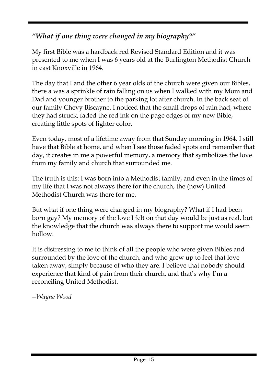# *"What if one thing were changed in my biography?"*

My first Bible was a hardback red Revised Standard Edition and it was presented to me when I was 6 years old at the Burlington Methodist Church in east Knoxville in 1964.

The day that I and the other 6 year olds of the church were given our Bibles, there a was a sprinkle of rain falling on us when I walked with my Mom and Dad and younger brother to the parking lot after church. In the back seat of our family Chevy Biscayne, I noticed that the small drops of rain had, where they had struck, faded the red ink on the page edges of my new Bible, creating little spots of lighter color.

Even today, most of a lifetime away from that Sunday morning in 1964, I still have that Bible at home, and when I see those faded spots and remember that day, it creates in me a powerful memory, a memory that symbolizes the love from my family and church that surrounded me.

The truth is this: I was born into a Methodist family, and even in the times of my life that I was not always there for the church, the (now) United Methodist Church was there for me.

But what if one thing were changed in my biography? What if I had been born gay? My memory of the love I felt on that day would be just as real, but the knowledge that the church was always there to support me would seem hollow.

It is distressing to me to think of all the people who were given Bibles and surrounded by the love of the church, and who grew up to feel that love taken away, simply because of who they are. I believe that nobody should experience that kind of pain from their church, and that's why I'm a reconciling United Methodist.

*--Wayne Wood*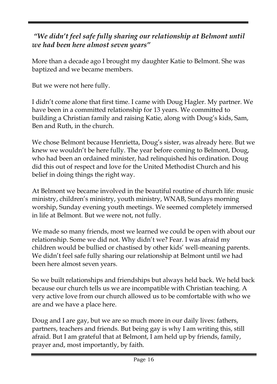## *"We didn't feel safe fully sharing our relationship at Belmont until we had been here almost seven years"*

More than a decade ago I brought my daughter Katie to Belmont. She was baptized and we became members.

But we were not here fully.

I didn't come alone that first time. I came with Doug Hagler. My partner. We have been in a committed relationship for 13 years. We committed to building a Christian family and raising Katie, along with Doug's kids, Sam, Ben and Ruth, in the church.

We chose Belmont because Henrietta, Doug's sister, was already here. But we knew we wouldn't be here fully. The year before coming to Belmont, Doug, who had been an ordained minister, had relinquished his ordination. Doug did this out of respect and love for the United Methodist Church and his belief in doing things the right way.

At Belmont we became involved in the beautiful routine of church life: music ministry, children's ministry, youth ministry, WNAB, Sundays morning worship, Sunday evening youth meetings. We seemed completely immersed in life at Belmont. But we were not, not fully.

We made so many friends, most we learned we could be open with about our relationship. Some we did not. Why didn't we? Fear. I was afraid my children would be bullied or chastised by other kids' well-meaning parents. We didn't feel safe fully sharing our relationship at Belmont until we had been here almost seven years.

So we built relationships and friendships but always held back. We held back because our church tells us we are incompatible with Christian teaching. A very active love from our church allowed us to be comfortable with who we are and we have a place here.

Doug and I are gay, but we are so much more in our daily lives: fathers, partners, teachers and friends. But being gay is why I am writing this, still afraid. But I am grateful that at Belmont, I am held up by friends, family, prayer and, most importantly, by faith.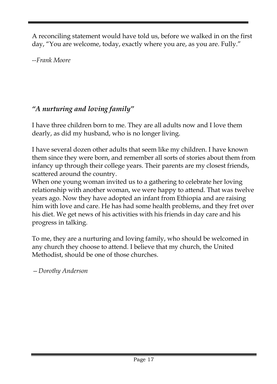A reconciling statement would have told us, before we walked in on the first day, "You are welcome, today, exactly where you are, as you are. Fully."

*--Frank Moore*

# *"A nurturing and loving family"*

I have three children born to me. They are all adults now and I love them dearly, as did my husband, who is no longer living.

I have several dozen other adults that seem like my children. I have known them since they were born, and remember all sorts of stories about them from infancy up through their college years. Their parents are my closest friends, scattered around the country.

When one young woman invited us to a gathering to celebrate her loving relationship with another woman, we were happy to attend. That was twelve years ago. Now they have adopted an infant from Ethiopia and are raising him with love and care. He has had some health problems, and they fret over his diet. We get news of his activities with his friends in day care and his progress in talking.

To me, they are a nurturing and loving family, who should be welcomed in any church they choose to attend. I believe that my church, the United Methodist, should be one of those churches.

*—Dorothy Anderson*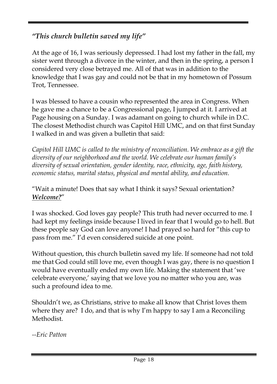# *"This church bulletin saved my life"*

At the age of 16, I was seriously depressed. I had lost my father in the fall, my sister went through a divorce in the winter, and then in the spring, a person I considered very close betrayed me. All of that was in addition to the knowledge that I was gay and could not be that in my hometown of Possum Trot, Tennessee.

I was blessed to have a cousin who represented the area in Congress. When he gave me a chance to be a Congressional page, I jumped at it. I arrived at Page housing on a Sunday. I was adamant on going to church while in D.C. The closest Methodist church was Capitol Hill UMC, and on that first Sunday I walked in and was given a bulletin that said:

*Capitol Hill UMC is called to the ministry of reconciliation. We embrace as a gift the diversity of our neighborhood and the world. We celebrate our human family's diversity of sexual orientation, gender identity, race, ethnicity, age, faith history, economic status, marital status, physical and mental ability, and education.*

#### "Wait a minute! Does that say what I think it says? Sexual orientation? *Welcome?*"

I was shocked. God loves gay people? This truth had never occurred to me. I had kept my feelings inside because I lived in fear that I would go to hell. But these people say God can love anyone! I had prayed so hard for "this cup to pass from me." I'd even considered suicide at one point.

Without question, this church bulletin saved my life. If someone had not told me that God could still love me, even though I was gay, there is no question I would have eventually ended my own life. Making the statement that 'we celebrate everyone,' saying that we love you no matter who you are, was such a profound idea to me.

Shouldn't we, as Christians, strive to make all know that Christ loves them where they are? I do, and that is why I'm happy to say I am a Reconciling Methodist.

*--Eric Patton*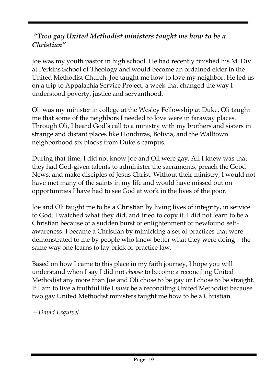#### *"Two gay United Methodist ministers taught me how to be a Christian"*

Joe was my youth pastor in high school. He had recently finished his M. Div. at Perkins School of Theology and would become an ordained elder in the United Methodist Church. Joe taught me how to love my neighbor. He led us on a trip to Appalachia Service Project, a week that changed the way I understood poverty, justice and servanthood.

Oli was my minister in college at the Wesley Fellowship at Duke. Oli taught me that some of the neighbors I needed to love were in faraway places. Through Oli, I heard God's call to a ministry with my brothers and sisters in strange and distant places like Honduras, Bolivia, and the Walltown neighborhood six blocks from Duke's campus.

During that time, I did not know Joe and Oli were gay. All I knew was that they had God-given talents to administer the sacraments, preach the Good News, and make disciples of Jesus Christ. Without their ministry, I would not have met many of the saints in my life and would have missed out on opportunities I have had to see God at work in the lives of the poor.

Joe and Oli taught me to be a Christian by living lives of integrity, in service to God. I watched what they did, and tried to copy it. I did not learn to be a Christian because of a sudden burst of enlightenment or newfound selfawareness. I became a Christian by mimicking a set of practices that were demonstrated to me by people who knew better what they were doing – the same way one learns to lay brick or practice law.

Based on how I came to this place in my faith journey, I hope you will understand when I say I did not *choose* to become a reconciling United Methodist any more than Joe and Oli chose to be gay or I chose to be straight. If I am to live a truthful life I *must* be a reconciling United Methodist because two gay United Methodist ministers taught me how to be a Christian.

*—David Esquivel*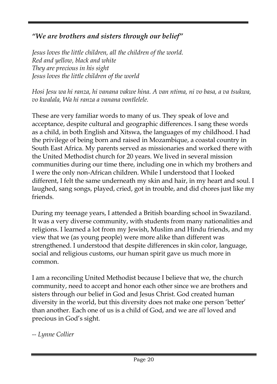# *"We are brothers and sisters through our belief"*

*Jesus loves the little children, all the children of the world. Red and yellow, black and white They are precious in his sight Jesus loves the little children of the world*

*Hosi Jesu wa hi ranza, hi vanana vakwe hina. A van ntima, ni vo basa, a va tsukwa, vo kwalala, Wa hi ranza a vanana vontlelele.*

These are very familiar words to many of us. They speak of love and acceptance, despite cultural and geographic differences. I sang these words as a child, in both English and Xitswa, the languages of my childhood. I had the privilege of being born and raised in Mozambique, a coastal country in South East Africa. My parents served as missionaries and worked there with the United Methodist church for 20 years. We lived in several mission communities during our time there, including one in which my brothers and I were the only non-African children. While I understood that I looked different, I felt the same underneath my skin and hair, in my heart and soul. I laughed, sang songs, played, cried, got in trouble, and did chores just like my friends.

During my teenage years, I attended a British boarding school in Swaziland. It was a very diverse community, with students from many nationalities and religions. I learned a lot from my Jewish, Muslim and Hindu friends, and my view that we (as young people) were more alike than different was strengthened. I understood that despite differences in skin color, language, social and religious customs, our human spirit gave us much more in common.

I am a reconciling United Methodist because I believe that we, the church community, need to accept and honor each other since we are brothers and sisters through our belief in God and Jesus Christ. God created human diversity in the world, but this diversity does not make one person 'better' than another. Each one of us is a child of God, and we are *all* loved and precious in God's sight.

*-- Lynne Collier*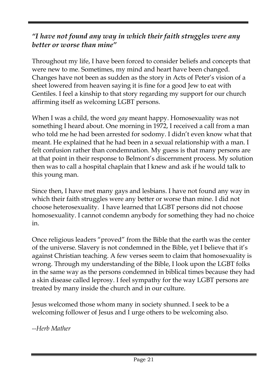#### *"I have not found any way in which their faith struggles were any better or worse than mine"*

Throughout my life, I have been forced to consider beliefs and concepts that were new to me. Sometimes, my mind and heart have been changed. Changes have not been as sudden as the story in Acts of Peter's vision of a sheet lowered from heaven saying it is fine for a good Jew to eat with Gentiles. I feel a kinship to that story regarding my support for our church affirming itself as welcoming LGBT persons.

When I was a child, the word *gay* meant happy. Homosexuality was not something I heard about. One morning in 1972, I received a call from a man who told me he had been arrested for sodomy. I didn't even know what that meant. He explained that he had been in a sexual relationship with a man. I felt confusion rather than condemnation. My guess is that many persons are at that point in their response to Belmont's discernment process. My solution then was to call a hospital chaplain that I knew and ask if he would talk to this young man.

Since then, I have met many gays and lesbians. I have not found any way in which their faith struggles were any better or worse than mine. I did not choose heterosexuality. I have learned that LGBT persons did not choose homosexuality. I cannot condemn anybody for something they had no choice in.

Once religious leaders "proved" from the Bible that the earth was the center of the universe. Slavery is not condemned in the Bible, yet I believe that it's against Christian teaching. A few verses seem to claim that homosexuality is wrong. Through my understanding of the Bible, I look upon the LGBT folks in the same way as the persons condemned in biblical times because they had a skin disease called leprosy. I feel sympathy for the way LGBT persons are treated by many inside the church and in our culture.

Jesus welcomed those whom many in society shunned. I seek to be a welcoming follower of Jesus and I urge others to be welcoming also.

*--Herb Mather*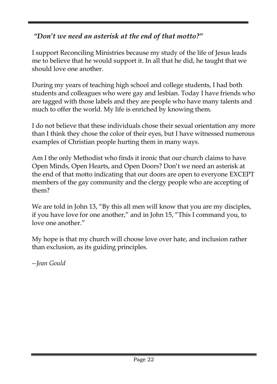# *"Don't we need an asterisk at the end of that motto?"*

I support Reconciling Ministries because my study of the life of Jesus leads me to believe that he would support it. In all that he did, he taught that we should love one another.

During my years of teaching high school and college students, I had both students and colleagues who were gay and lesbian. Today I have friends who are tagged with those labels and they are people who have many talents and much to offer the world. My life is enriched by knowing them.

I do not believe that these individuals chose their sexual orientation any more than I think they chose the color of their eyes, but I have witnessed numerous examples of Christian people hurting them in many ways.

Am I the only Methodist who finds it ironic that our church claims to have Open Minds, Open Hearts, and Open Doors? Don't we need an asterisk at the end of that motto indicating that our doors are open to everyone EXCEPT members of the gay community and the clergy people who are accepting of them?

We are told in John 13, "By this all men will know that you are my disciples, if you have love for one another," and in John 15, "This I command you, to love one another."

My hope is that my church will choose love over hate, and inclusion rather than exclusion, as its guiding principles.

*--Jean Gould*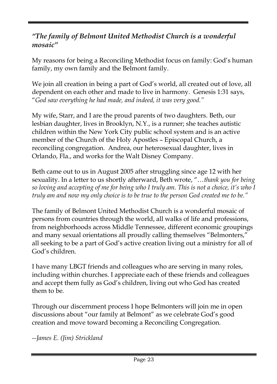#### *"The family of Belmont United Methodist Church is a wonderful mosaic"*

My reasons for being a Reconciling Methodist focus on family: God's human family, my own family and the Belmont family.

We join all creation in being a part of God's world, all created out of love, all dependent on each other and made to live in harmony. Genesis 1:31 says, "*God saw everything he had made, and indeed, it was very good."*

My wife, Starr, and I are the proud parents of two daughters. Beth, our lesbian daughter, lives in Brooklyn, N.Y., is a runner; she teaches autistic children within the New York City public school system and is an active member of the Church of the Holy Apostles – Episcopal Church, a reconciling congregation. Andrea, our heterosexual daughter, lives in Orlando, Fla., and works for the Walt Disney Company.

Beth came out to us in August 2005 after struggling since age 12 with her sexuality. In a letter to us shortly afterward, Beth wrote, "…*thank you for being so loving and accepting of me for being who I truly am. This is not a choice, it's who I truly am and now my only choice is to be true to the person God created me to be."*

The family of Belmont United Methodist Church is a wonderful mosaic of persons from countries through the world, all walks of life and professions, from neighborhoods across Middle Tennessee, different economic groupings and many sexual orientations all proudly calling themselves "Belmonters," all seeking to be a part of God's active creation living out a ministry for all of God's children.

I have many LBGT friends and colleagues who are serving in many roles, including within churches. I appreciate each of these friends and colleagues and accept them fully as God's children, living out who God has created them to be.

Through our discernment process I hope Belmonters will join me in open discussions about "our family at Belmont" as we celebrate God's good creation and move toward becoming a Reconciling Congregation.

*--James E. (Jim) Strickland*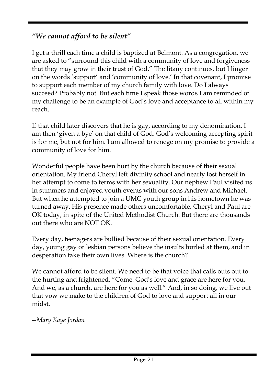# *"We cannot afford to be silent"*

I get a thrill each time a child is baptized at Belmont. As a congregation, we are asked to "surround this child with a community of love and forgiveness that they may grow in their trust of God." The litany continues, but I linger on the words 'support' and 'community of love.' In that covenant, I promise to support each member of my church family with love. Do I always succeed? Probably not. But each time I speak those words I am reminded of my challenge to be an example of God's love and acceptance to all within my reach.

If that child later discovers that he is gay, according to my denomination, I am then 'given a bye' on that child of God. God's welcoming accepting spirit is for me, but not for him. I am allowed to renege on my promise to provide a community of love for him.

Wonderful people have been hurt by the church because of their sexual orientation. My friend Cheryl left divinity school and nearly lost herself in her attempt to come to terms with her sexuality. Our nephew Paul visited us in summers and enjoyed youth events with our sons Andrew and Michael. But when he attempted to join a UMC youth group in his hometown he was turned away. His presence made others uncomfortable. Cheryl and Paul are OK today, in spite of the United Methodist Church. But there are thousands out there who are NOT OK.

Every day, teenagers are bullied because of their sexual orientation. Every day, young gay or lesbian persons believe the insults hurled at them, and in desperation take their own lives. Where is the church?

We cannot afford to be silent. We need to be that voice that calls outs out to the hurting and frightened, "Come. God's love and grace are here for you. And we, as a church, are here for you as well." And, in so doing, we live out that vow we make to the children of God to love and support all in our midst.

*--Mary Kaye Jordan*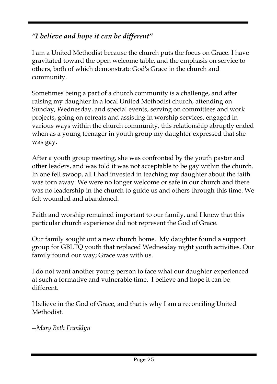# *"I believe and hope it can be different"*

I am a United Methodist because the church puts the focus on Grace. I have gravitated toward the open welcome table, and the emphasis on service to others, both of which demonstrate God's Grace in the church and community.

Sometimes being a part of a church community is a challenge, and after raising my daughter in a local United Methodist church, attending on Sunday, Wednesday, and special events, serving on committees and work projects, going on retreats and assisting in worship services, engaged in various ways within the church community, this relationship abruptly ended when as a young teenager in youth group my daughter expressed that she was gay.

After a youth group meeting, she was confronted by the youth pastor and other leaders, and was told it was not acceptable to be gay within the church. In one fell swoop, all I had invested in teaching my daughter about the faith was torn away. We were no longer welcome or safe in our church and there was no leadership in the church to guide us and others through this time. We felt wounded and abandoned.

Faith and worship remained important to our family, and I knew that this particular church experience did not represent the God of Grace.

Our family sought out a new church home. My daughter found a support group for GBLTQ youth that replaced Wednesday night youth activities. Our family found our way; Grace was with us.

I do not want another young person to face what our daughter experienced at such a formative and vulnerable time. I believe and hope it can be different.

I believe in the God of Grace, and that is why I am a reconciling United Methodist.

*--Mary Beth Franklyn*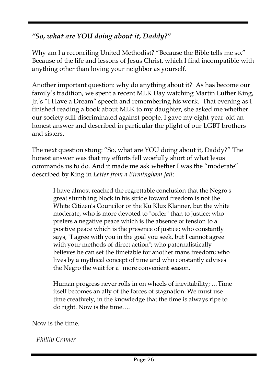# *"So, what are YOU doing about it, Daddy?"*

Why am I a reconciling United Methodist? "Because the Bible tells me so." Because of the life and lessons of Jesus Christ, which I find incompatible with anything other than loving your neighbor as yourself.

Another important question: why do anything about it? As has become our family's tradition, we spent a recent MLK Day watching Martin Luther King, Jr.'s "I Have a Dream" speech and remembering his work. That evening as I finished reading a book about MLK to my daughter, she asked me whether our society still discriminated against people. I gave my eight-year-old an honest answer and described in particular the plight of our LGBT brothers and sisters.

The next question stung: "So, what are YOU doing about it, Daddy?" The honest answer was that my efforts fell woefully short of what Jesus commands us to do. And it made me ask whether I was the "moderate" described by King in *Letter from a Birmingham Jail*:

> I have almost reached the regrettable conclusion that the Negro's great stumbling block in his stride toward freedom is not the White Citizen's Councilor or the Ku Klux Klanner, but the white moderate, who is more devoted to "order" than to justice; who prefers a negative peace which is the absence of tension to a positive peace which is the presence of justice; who constantly says, "I agree with you in the goal you seek, but I cannot agree with your methods of direct action"; who paternalistically believes he can set the timetable for another mans freedom; who lives by a mythical concept of time and who constantly advises the Negro the wait for a "more convenient season."

> Human progress never rolls in on wheels of inevitability; …Time itself becomes an ally of the forces of stagnation. We must use time creatively, in the knowledge that the time is always ripe to do right. Now is the time….

Now is the time.

*--Phillip Cramer*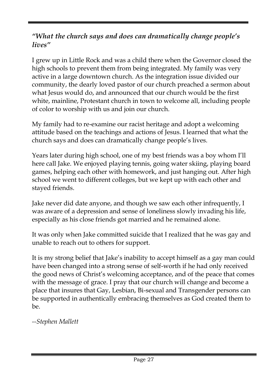#### *"What the church says and does can dramatically change people's lives"*

I grew up in Little Rock and was a child there when the Governor closed the high schools to prevent them from being integrated. My family was very active in a large downtown church. As the integration issue divided our community, the dearly loved pastor of our church preached a sermon about what Jesus would do, and announced that our church would be the first white, mainline, Protestant church in town to welcome all, including people of color to worship with us and join our church.

My family had to re-examine our racist heritage and adopt a welcoming attitude based on the teachings and actions of Jesus. I learned that what the church says and does can dramatically change people's lives.

Years later during high school, one of my best friends was a boy whom I'll here call Jake. We enjoyed playing tennis, going water skiing, playing board games, helping each other with homework, and just hanging out. After high school we went to different colleges, but we kept up with each other and stayed friends.

Jake never did date anyone, and though we saw each other infrequently, I was aware of a depression and sense of loneliness slowly invading his life, especially as his close friends got married and he remained alone.

It was only when Jake committed suicide that I realized that he was gay and unable to reach out to others for support.

It is my strong belief that Jake's inability to accept himself as a gay man could have been changed into a strong sense of self-worth if he had only received the good news of Christ's welcoming acceptance, and of the peace that comes with the message of grace. I pray that our church will change and become a place that insures that Gay, Lesbian, Bi-sexual and Transgender persons can be supported in authentically embracing themselves as God created them to be.

*--Stephen Mallett*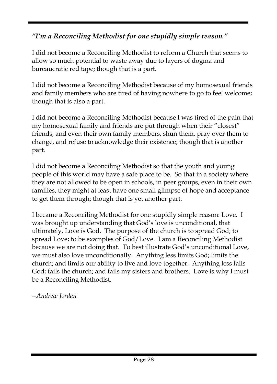# *"I'm a Reconciling Methodist for one stupidly simple reason."*

I did not become a Reconciling Methodist to reform a Church that seems to allow so much potential to waste away due to layers of dogma and bureaucratic red tape; though that is a part.

I did not become a Reconciling Methodist because of my homosexual friends and family members who are tired of having nowhere to go to feel welcome; though that is also a part.

I did not become a Reconciling Methodist because I was tired of the pain that my homosexual family and friends are put through when their "closest" friends, and even their own family members, shun them, pray over them to change, and refuse to acknowledge their existence; though that is another part.

I did not become a Reconciling Methodist so that the youth and young people of this world may have a safe place to be. So that in a society where they are not allowed to be open in schools, in peer groups, even in their own families, they might at least have one small glimpse of hope and acceptance to get them through; though that is yet another part.

I became a Reconciling Methodist for one stupidly simple reason: Love. I was brought up understanding that God's love is unconditional, that ultimately, Love is God. The purpose of the church is to spread God; to spread Love; to be examples of God/Love. I am a Reconciling Methodist because we are not doing that. To best illustrate God's unconditional Love, we must also love unconditionally. Anything less limits God; limits the church; and limits our ability to live and love together. Anything less fails God; fails the church; and fails my sisters and brothers. Love is why I must be a Reconciling Methodist.

*--Andrew Jordan*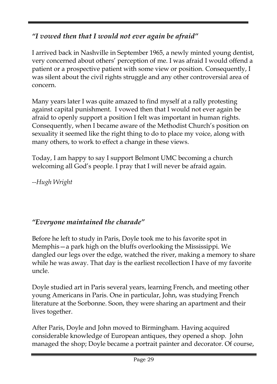# *"I vowed then that I would not ever again be afraid"*

I arrived back in Nashville in September 1965, a newly minted young dentist, very concerned about others' perception of me. I was afraid I would offend a patient or a prospective patient with some view or position. Consequently, I was silent about the civil rights struggle and any other controversial area of concern.

Many years later I was quite amazed to find myself at a rally protesting against capital punishment. I vowed then that I would not ever again be afraid to openly support a position I felt was important in human rights. Consequently, when I became aware of the Methodist Church's position on sexuality it seemed like the right thing to do to place my voice, along with many others, to work to effect a change in these views.

Today, I am happy to say I support Belmont UMC becoming a church welcoming all God's people. I pray that I will never be afraid again.

*--Hugh Wright*

# *"Everyone maintained the charade"*

Before he left to study in Paris, Doyle took me to his favorite spot in Memphis—a park high on the bluffs overlooking the Mississippi. We dangled our legs over the edge, watched the river, making a memory to share while he was away. That day is the earliest recollection I have of my favorite uncle.

Doyle studied art in Paris several years, learning French, and meeting other young Americans in Paris. One in particular, John, was studying French literature at the Sorbonne. Soon, they were sharing an apartment and their lives together.

After Paris, Doyle and John moved to Birmingham. Having acquired considerable knowledge of European antiques, they opened a shop. John managed the shop; Doyle became a portrait painter and decorator. Of course,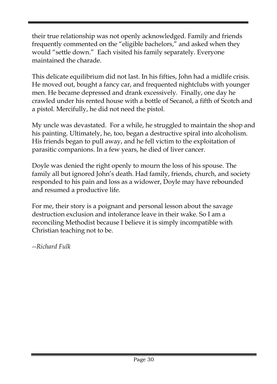their true relationship was not openly acknowledged. Family and friends frequently commented on the "eligible bachelors," and asked when they would "settle down." Each visited his family separately. Everyone maintained the charade.

This delicate equilibrium did not last. In his fifties, John had a midlife crisis. He moved out, bought a fancy car, and frequented nightclubs with younger men. He became depressed and drank excessively. Finally, one day he crawled under his rented house with a bottle of Secanol, a fifth of Scotch and a pistol. Mercifully, he did not need the pistol.

My uncle was devastated. For a while, he struggled to maintain the shop and his painting. Ultimately, he, too, began a destructive spiral into alcoholism. His friends began to pull away, and he fell victim to the exploitation of parasitic companions. In a few years, he died of liver cancer.

Doyle was denied the right openly to mourn the loss of his spouse. The family all but ignored John's death. Had family, friends, church, and society responded to his pain and loss as a widower, Doyle may have rebounded and resumed a productive life.

For me, their story is a poignant and personal lesson about the savage destruction exclusion and intolerance leave in their wake. So I am a reconciling Methodist because I believe it is simply incompatible with Christian teaching not to be.

*--Richard Fulk*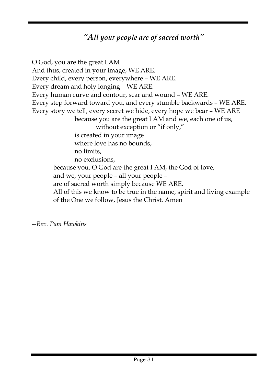# *"All your people are of sacred worth"*

O God, you are the great I AM And thus, created in your image, WE ARE. Every child, every person, everywhere – WE ARE. Every dream and holy longing – WE ARE. Every human curve and contour, scar and wound – WE ARE. Every step forward toward you, and every stumble backwards – WE ARE. Every story we tell, every secret we hide, every hope we bear – WE ARE because you are the great I AM and we, each one of us, without exception or "if only," is created in your image where love has no bounds, no limits, no exclusions, because you, O God are the great I AM, the God of love, and we, your people – all your people – are of sacred worth simply because WE ARE. All of this we know to be true in the name, spirit and living example of the One we follow, Jesus the Christ. Amen

*--Rev. Pam Hawkins*